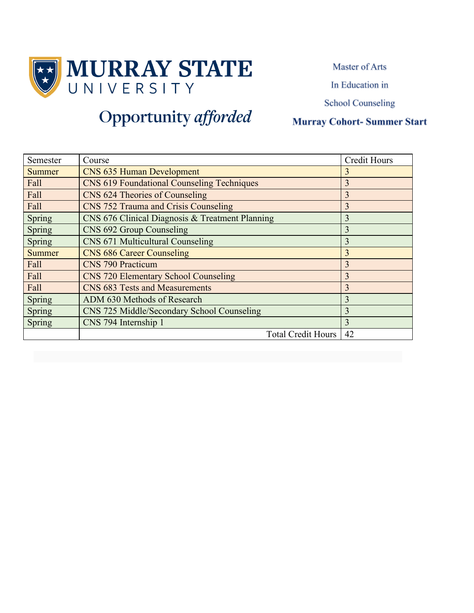

Master of Arts

In Education in

**School Counseling** 

### **Murray Cohort-Summer Start**

| Semester      | Course                                            | <b>Credit Hours</b> |
|---------------|---------------------------------------------------|---------------------|
| <b>Summer</b> | <b>CNS 635 Human Development</b>                  | 3                   |
| Fall          | <b>CNS 619 Foundational Counseling Techniques</b> | 3                   |
| Fall          | CNS 624 Theories of Counseling                    | 3                   |
| Fall          | CNS 752 Trauma and Crisis Counseling              | $\overline{3}$      |
| Spring        | CNS 676 Clinical Diagnosis & Treatment Planning   | 3                   |
| Spring        | CNS 692 Group Counseling                          | 3                   |
| Spring        | CNS 671 Multicultural Counseling                  | $\overline{3}$      |
| <b>Summer</b> | <b>CNS 686 Career Counseling</b>                  | $\overline{3}$      |
| Fall          | <b>CNS 790 Practicum</b>                          | $\overline{3}$      |
| Fall          | <b>CNS 720 Elementary School Counseling</b>       | 3                   |
| Fall          | <b>CNS 683 Tests and Measurements</b>             | 3                   |
| Spring        | ADM 630 Methods of Research                       | 3                   |
| Spring        | CNS 725 Middle/Secondary School Counseling        | 3                   |
| Spring        | CNS 794 Internship 1                              | $\overline{3}$      |
|               | <b>Total Credit Hours</b>                         | 42                  |

# Opportunity afforded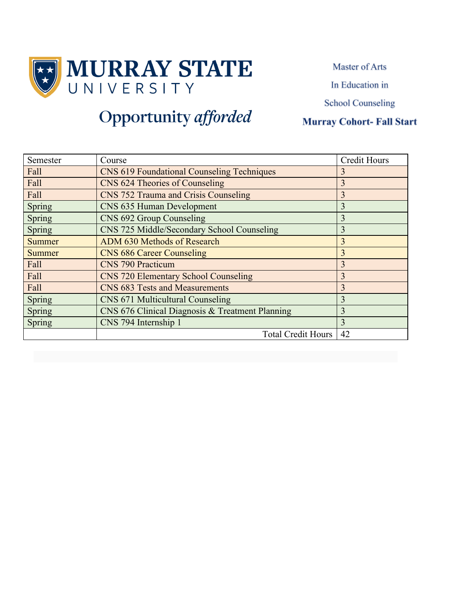

Master of Arts

In Education in

**School Counseling** 

### **Murray Cohort-Fall Start**

| Semester      | Course                                            | <b>Credit Hours</b> |
|---------------|---------------------------------------------------|---------------------|
| Fall          | <b>CNS 619 Foundational Counseling Techniques</b> | 3                   |
| Fall          | CNS 624 Theories of Counseling                    | $\overline{3}$      |
| Fall          | CNS 752 Trauma and Crisis Counseling              | 3                   |
| Spring        | CNS 635 Human Development                         | 3                   |
| Spring        | CNS 692 Group Counseling                          | $\overline{3}$      |
| Spring        | CNS 725 Middle/Secondary School Counseling        | 3                   |
| <b>Summer</b> | ADM 630 Methods of Research                       | 3                   |
| <b>Summer</b> | <b>CNS 686 Career Counseling</b>                  | 3                   |
| Fall          | <b>CNS 790 Practicum</b>                          | 3                   |
| Fall          | <b>CNS 720 Elementary School Counseling</b>       | 3                   |
| Fall          | CNS 683 Tests and Measurements                    | $\overline{3}$      |
| Spring        | CNS 671 Multicultural Counseling                  | 3                   |
| Spring        | CNS 676 Clinical Diagnosis & Treatment Planning   | 3                   |
| Spring        | CNS 794 Internship 1                              | 3                   |
|               | <b>Total Credit Hours</b>                         | 42                  |

## Opportunity afforded